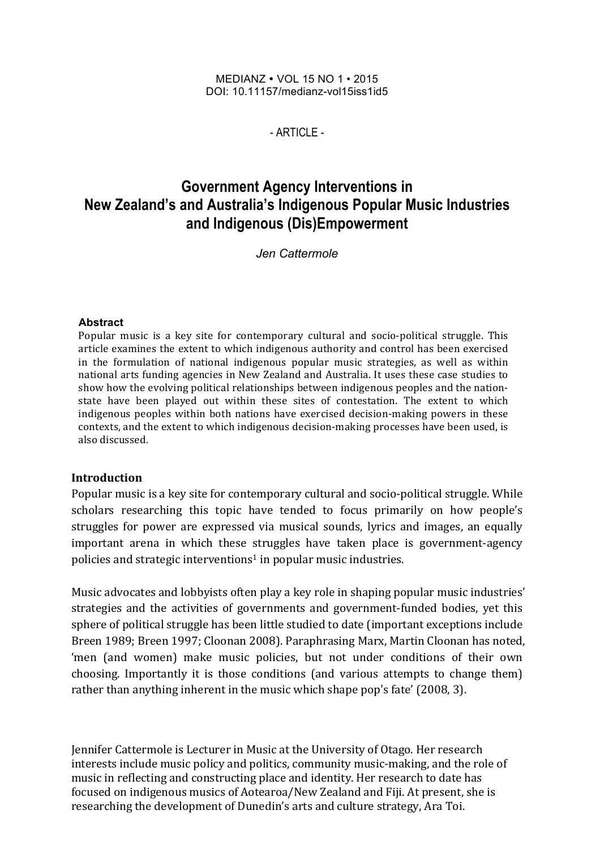#### MEDIANZ ! VOL 15 NO 1 • 2015 DOI: 10.11157/medianz-vol15iss1id5

 $-$  ARTICLE -

# **Government Agency Interventions in New Zealand's and Australia's Indigenous Popular Music Industries and Indigenous (Dis)Empowerment**

*Jen Cattermole*

### **Abstract**

Popular music is a key site for contemporary cultural and socio-political struggle. This article examines the extent to which indigenous authority and control has been exercised in the formulation of national indigenous popular music strategies, as well as within national arts funding agencies in New Zealand and Australia. It uses these case studies to show how the evolving political relationships between indigenous peoples and the nationstate have been played out within these sites of contestation. The extent to which indigenous peoples within both nations have exercised decision-making powers in these contexts, and the extent to which indigenous decision-making processes have been used, is also discussed. 

### **Introduction**

Popular music is a key site for contemporary cultural and socio-political struggle. While scholars researching this topic have tended to focus primarily on how people's struggles for power are expressed via musical sounds, lyrics and images, an equally important arena in which these struggles have taken place is government-agency policies and strategic interventions<sup>1</sup> in popular music industries.

Music advocates and lobbyists often play a key role in shaping popular music industries' strategies and the activities of governments and government-funded bodies, yet this sphere of political struggle has been little studied to date (important exceptions include Breen 1989; Breen 1997; Cloonan 2008). Paraphrasing Marx, Martin Cloonan has noted, 'men (and women) make music policies, but not under conditions of their own choosing. Importantly it is those conditions (and various attempts to change them) rather than anything inherent in the music which shape pop's fate' (2008, 3).

Jennifer Cattermole is Lecturer in Music at the University of Otago. Her research interests include music policy and politics, community music-making, and the role of music in reflecting and constructing place and identity. Her research to date has focused on indigenous musics of Aotearoa/New Zealand and Fiji. At present, she is researching the development of Dunedin's arts and culture strategy, Ara Toi.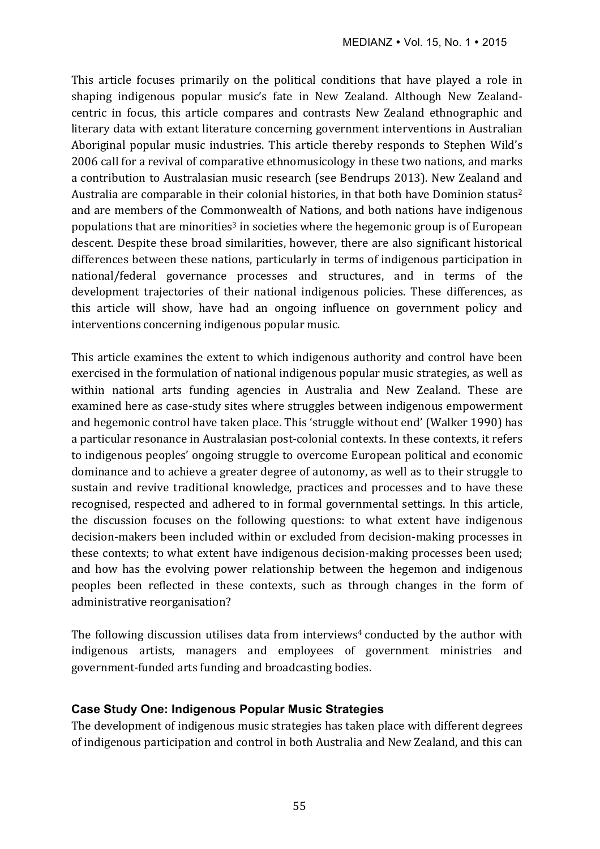This article focuses primarily on the political conditions that have played a role in shaping indigenous popular music's fate in New Zealand. Although New Zealandcentric in focus, this article compares and contrasts New Zealand ethnographic and literary data with extant literature concerning government interventions in Australian Aboriginal popular music industries. This article thereby responds to Stephen Wild's 2006 call for a revival of comparative ethnomusicology in these two nations, and marks a contribution to Australasian music research (see Bendrups 2013). New Zealand and Australia are comparable in their colonial histories, in that both have Dominion status<sup>2</sup> and are members of the Commonwealth of Nations, and both nations have indigenous populations that are minorities<sup>3</sup> in societies where the hegemonic group is of European descent. Despite these broad similarities, however, there are also significant historical differences between these nations, particularly in terms of indigenous participation in national/federal governance processes and structures, and in terms of the development trajectories of their national indigenous policies. These differences, as this article will show, have had an ongoing influence on government policy and interventions concerning indigenous popular music.

This article examines the extent to which indigenous authority and control have been exercised in the formulation of national indigenous popular music strategies, as well as within national arts funding agencies in Australia and New Zealand. These are examined here as case-study sites where struggles between indigenous empowerment and hegemonic control have taken place. This 'struggle without end' (Walker 1990) has a particular resonance in Australasian post-colonial contexts. In these contexts, it refers to indigenous peoples' ongoing struggle to overcome European political and economic dominance and to achieve a greater degree of autonomy, as well as to their struggle to sustain and revive traditional knowledge, practices and processes and to have these recognised, respected and adhered to in formal governmental settings. In this article, the discussion focuses on the following questions: to what extent have indigenous decision-makers been included within or excluded from decision-making processes in these contexts; to what extent have indigenous decision-making processes been used; and how has the evolving power relationship between the hegemon and indigenous peoples been reflected in these contexts, such as through changes in the form of administrative reorganisation?

The following discussion utilises data from interviews<sup>4</sup> conducted by the author with indigenous artists, managers and employees of government ministries and government-funded arts funding and broadcasting bodies.

### **Case Study One: Indigenous Popular Music Strategies**

The development of indigenous music strategies has taken place with different degrees of indigenous participation and control in both Australia and New Zealand, and this can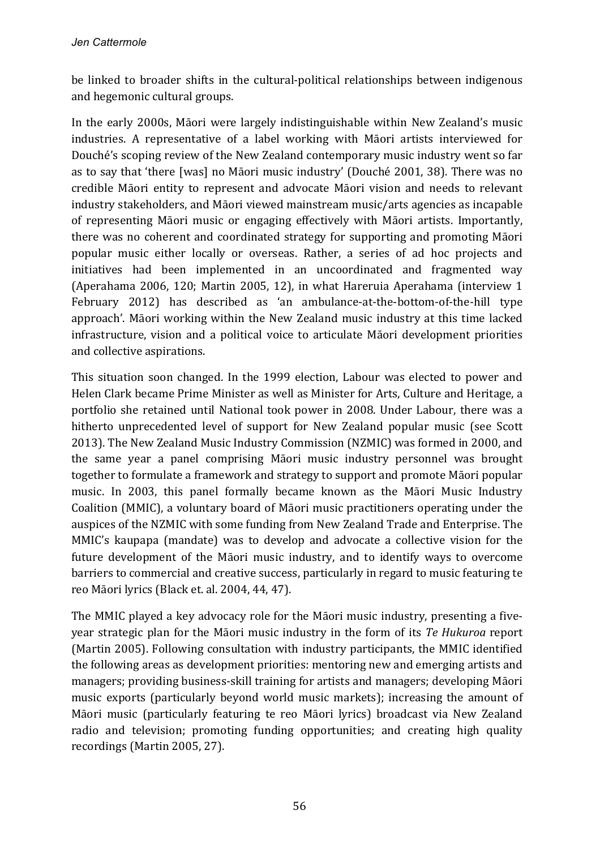be linked to broader shifts in the cultural-political relationships between indigenous and hegemonic cultural groups.

In the early 2000s, Māori were largely indistinguishable within New Zealand's music industries. A representative of a label working with Māori artists interviewed for Douché's scoping review of the New Zealand contemporary music industry went so far as to say that 'there [was] no Māori music industry' (Douché 2001, 38). There was no credible Māori entity to represent and advocate Māori vision and needs to relevant industry stakeholders, and Māori viewed mainstream music/arts agencies as incapable of representing Māori music or engaging effectively with Māori artists. Importantly, there was no coherent and coordinated strategy for supporting and promoting Māori popular music either locally or overseas. Rather, a series of ad hoc projects and initiatives had been implemented in an uncoordinated and fragmented way (Aperahama 2006, 120; Martin 2005, 12), in what Hareruia Aperahama (interview 1 February 2012) has described as 'an ambulance-at-the-bottom-of-the-hill type approach'. Māori working within the New Zealand music industry at this time lacked infrastructure, vision and a political voice to articulate Māori development priorities and collective aspirations.

This situation soon changed. In the 1999 election, Labour was elected to power and Helen Clark became Prime Minister as well as Minister for Arts, Culture and Heritage, a portfolio she retained until National took power in 2008. Under Labour, there was a hitherto unprecedented level of support for New Zealand popular music (see Scott 2013). The New Zealand Music Industry Commission (NZMIC) was formed in 2000, and the same year a panel comprising Māori music industry personnel was brought together to formulate a framework and strategy to support and promote Māori popular music. In 2003, this panel formally became known as the Māori Music Industry Coalition (MMIC), a voluntary board of Māori music practitioners operating under the auspices of the NZMIC with some funding from New Zealand Trade and Enterprise. The MMIC's kaupapa (mandate) was to develop and advocate a collective vision for the future development of the Māori music industry, and to identify ways to overcome barriers to commercial and creative success, particularly in regard to music featuring te reo Māori lyrics (Black et. al. 2004, 44, 47).

The MMIC played a key advocacy role for the Māori music industry, presenting a fiveyear strategic plan for the Māori music industry in the form of its *Te Hukuroa* report (Martin 2005). Following consultation with industry participants, the MMIC identified the following areas as development priorities: mentoring new and emerging artists and managers; providing business-skill training for artists and managers; developing Māori music exports (particularly beyond world music markets); increasing the amount of Māori music (particularly featuring te reo Māori lyrics) broadcast via New Zealand radio and television; promoting funding opportunities; and creating high quality recordings (Martin 2005, 27).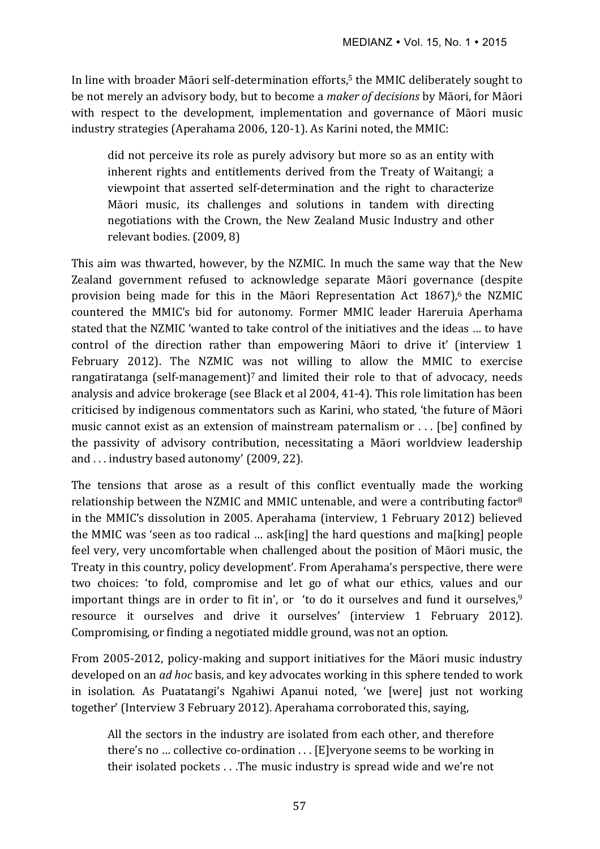In line with broader Māori self-determination efforts,<sup>5</sup> the MMIC deliberately sought to be not merely an advisory body, but to become a *maker of decisions* by Māori, for Māori with respect to the development, implementation and governance of Māori music industry strategies (Aperahama 2006, 120-1). As Karini noted, the MMIC:

did not perceive its role as purely advisory but more so as an entity with inherent rights and entitlements derived from the Treaty of Waitangi; a viewpoint that asserted self-determination and the right to characterize Māori music, its challenges and solutions in tandem with directing negotiations with the Crown, the New Zealand Music Industry and other relevant bodies. (2009, 8)

This aim was thwarted, however, by the NZMIC. In much the same way that the New Zealand government refused to acknowledge separate Māori governance (despite provision being made for this in the Māori Representation Act 1867),<sup>6</sup> the NZMIC countered the MMIC's bid for autonomy. Former MMIC leader Hareruia Aperhama stated that the NZMIC 'wanted to take control of the initiatives and the ideas ... to have control of the direction rather than empowering Māori to drive it' (interview 1 February 2012). The NZMIC was not willing to allow the MMIC to exercise rangatiratanga (self-management)<sup>7</sup> and limited their role to that of advocacy, needs analysis and advice brokerage (see Black et al 2004, 41-4). This role limitation has been criticised by indigenous commentators such as Karini, who stated, 'the future of Māori music cannot exist as an extension of mainstream paternalism or  $\dots$  [be] confined by the passivity of advisory contribution, necessitating a Māori worldview leadership and  $\ldots$  industry based autonomy' (2009, 22).

The tensions that arose as a result of this conflict eventually made the working relationship between the NZMIC and MMIC untenable, and were a contributing factor<sup>8</sup> in the MMIC's dissolution in 2005. Aperahama (interview, 1 February 2012) believed the MMIC was 'seen as too radical  $\ldots$  ask[ing] the hard questions and ma[king] people feel very, very uncomfortable when challenged about the position of Māori music, the Treaty in this country, policy development'. From Aperahama's perspective, there were two choices: 'to fold, compromise and let go of what our ethics, values and our important things are in order to fit in', or 'to do it ourselves and fund it ourselves, $9$ resource it ourselves and drive it ourselves' (interview 1 February 2012). Compromising, or finding a negotiated middle ground, was not an option.

From 2005-2012, policy-making and support initiatives for the Māori music industry developed on an *ad hoc* basis, and key advocates working in this sphere tended to work in isolation. As Puatatangi's Ngahiwi Apanui noted, 'we [were] just not working together' (Interview 3 February 2012). Aperahama corroborated this, saying,

All the sectors in the industry are isolated from each other, and therefore there's no ... collective co-ordination  $\dots$  [E]veryone seems to be working in their isolated pockets  $\dots$ . The music industry is spread wide and we're not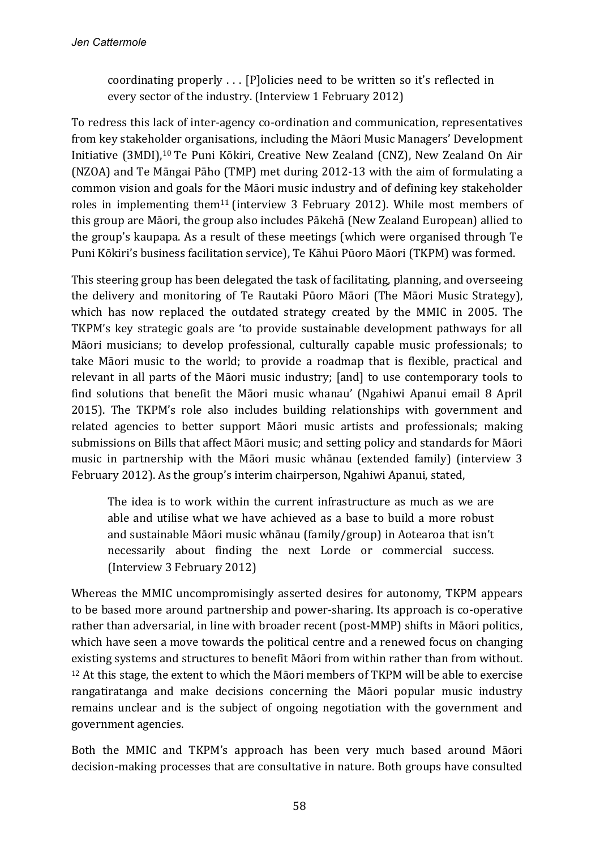coordinating properly  $\dots$  [P]olicies need to be written so it's reflected in every sector of the industry. (Interview 1 February 2012)

To redress this lack of inter-agency co-ordination and communication, representatives from key stakeholder organisations, including the Māori Music Managers' Development Initiative (3MDI),<sup>10</sup> Te Puni Kōkiri, Creative New Zealand (CNZ), New Zealand On Air (NZOA) and Te Māngai Pāho (TMP) met during 2012-13 with the aim of formulating a common vision and goals for the Māori music industry and of defining key stakeholder roles in implementing them<sup>11</sup> (interview 3 February 2012). While most members of this group are Māori, the group also includes Pākehā (New Zealand European) allied to the group's kaupapa. As a result of these meetings (which were organised through Te Puni Kōkiri's business facilitation service), Te Kāhui Pūoro Māori (TKPM) was formed.

This steering group has been delegated the task of facilitating, planning, and overseeing the delivery and monitoring of Te Rautaki Pūoro Māori (The Māori Music Strategy), which has now replaced the outdated strategy created by the MMIC in 2005. The TKPM's key strategic goals are 'to provide sustainable development pathways for all Māori musicians; to develop professional, culturally capable music professionals; to take Māori music to the world; to provide a roadmap that is flexible, practical and relevant in all parts of the Māori music industry; [and] to use contemporary tools to find solutions that benefit the Māori music whanau' (Ngahiwi Apanui email 8 April 2015). The TKPM's role also includes building relationships with government and related agencies to better support Māori music artists and professionals; making submissions on Bills that affect Māori music; and setting policy and standards for Māori music in partnership with the Māori music whānau (extended family) (interview 3 February 2012). As the group's interim chairperson, Ngahiwi Apanui, stated,

The idea is to work within the current infrastructure as much as we are able and utilise what we have achieved as a base to build a more robust and sustainable Māori music whānau (family/group) in Aotearoa that isn't necessarily about finding the next Lorde or commercial success. (Interview 3 February 2012)

Whereas the MMIC uncompromisingly asserted desires for autonomy, TKPM appears to be based more around partnership and power-sharing. Its approach is co-operative rather than adversarial, in line with broader recent (post-MMP) shifts in Māori politics, which have seen a move towards the political centre and a renewed focus on changing existing systems and structures to benefit Māori from within rather than from without.  $12$  At this stage, the extent to which the Māori members of TKPM will be able to exercise rangatiratanga and make decisions concerning the Māori popular music industry remains unclear and is the subject of ongoing negotiation with the government and government agencies.

Both the MMIC and TKPM's approach has been very much based around Māori decision-making processes that are consultative in nature. Both groups have consulted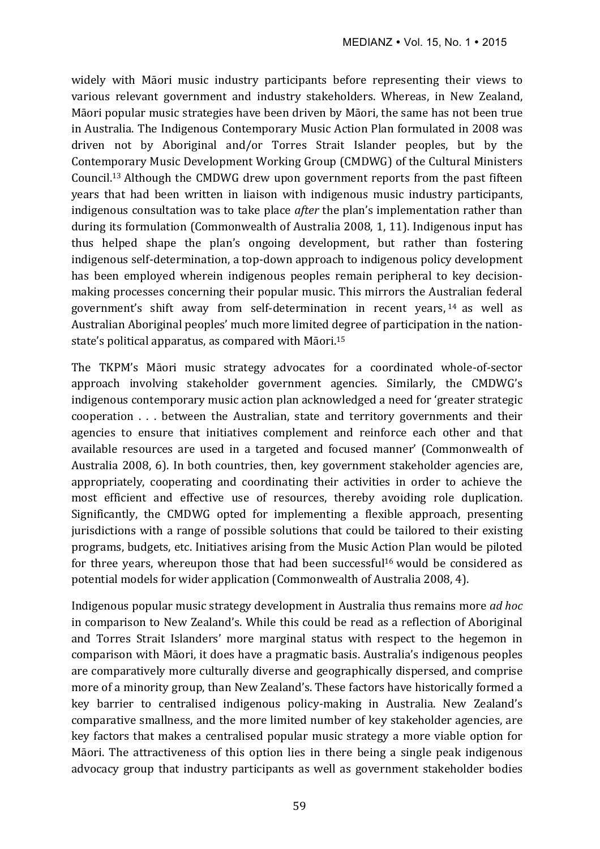widely with Māori music industry participants before representing their views to various relevant government and industry stakeholders. Whereas, in New Zealand, Māori popular music strategies have been driven by Māori, the same has not been true in Australia. The Indigenous Contemporary Music Action Plan formulated in 2008 was driven not by Aboriginal and/or Torres Strait Islander peoples, but by the Contemporary Music Development Working Group (CMDWG) of the Cultural Ministers Council.<sup>13</sup> Although the CMDWG drew upon government reports from the past fifteen years that had been written in liaison with indigenous music industry participants, indigenous consultation was to take place *after* the plan's implementation rather than during its formulation (Commonwealth of Australia 2008, 1, 11). Indigenous input has thus helped shape the plan's ongoing development, but rather than fostering indigenous self-determination, a top-down approach to indigenous policy development has been employed wherein indigenous peoples remain peripheral to key decisionmaking processes concerning their popular music. This mirrors the Australian federal government's shift away from self-determination in recent years, <sup>14</sup> as well as Australian Aboriginal peoples' much more limited degree of participation in the nationstate's political apparatus, as compared with Māori.<sup>15</sup>

The TKPM's Māori music strategy advocates for a coordinated whole-of-sector approach involving stakeholder government agencies. Similarly, the CMDWG's indigenous contemporary music action plan acknowledged a need for 'greater strategic cooperation  $\ldots$  between the Australian, state and territory governments and their agencies to ensure that initiatives complement and reinforce each other and that available resources are used in a targeted and focused manner' (Commonwealth of Australia 2008, 6). In both countries, then, key government stakeholder agencies are, appropriately, cooperating and coordinating their activities in order to achieve the most efficient and effective use of resources, thereby avoiding role duplication. Significantly, the CMDWG opted for implementing a flexible approach, presenting jurisdictions with a range of possible solutions that could be tailored to their existing programs, budgets, etc. Initiatives arising from the Music Action Plan would be piloted for three years, whereupon those that had been successful<sup>16</sup> would be considered as potential models for wider application (Commonwealth of Australia 2008, 4).

Indigenous popular music strategy development in Australia thus remains more *ad hoc* in comparison to New Zealand's. While this could be read as a reflection of Aboriginal and Torres Strait Islanders' more marginal status with respect to the hegemon in comparison with Māori, it does have a pragmatic basis. Australia's indigenous peoples are comparatively more culturally diverse and geographically dispersed, and comprise more of a minority group, than New Zealand's. These factors have historically formed a key barrier to centralised indigenous policy-making in Australia. New Zealand's comparative smallness, and the more limited number of key stakeholder agencies, are key factors that makes a centralised popular music strategy a more viable option for Māori. The attractiveness of this option lies in there being a single peak indigenous advocacy group that industry participants as well as government stakeholder bodies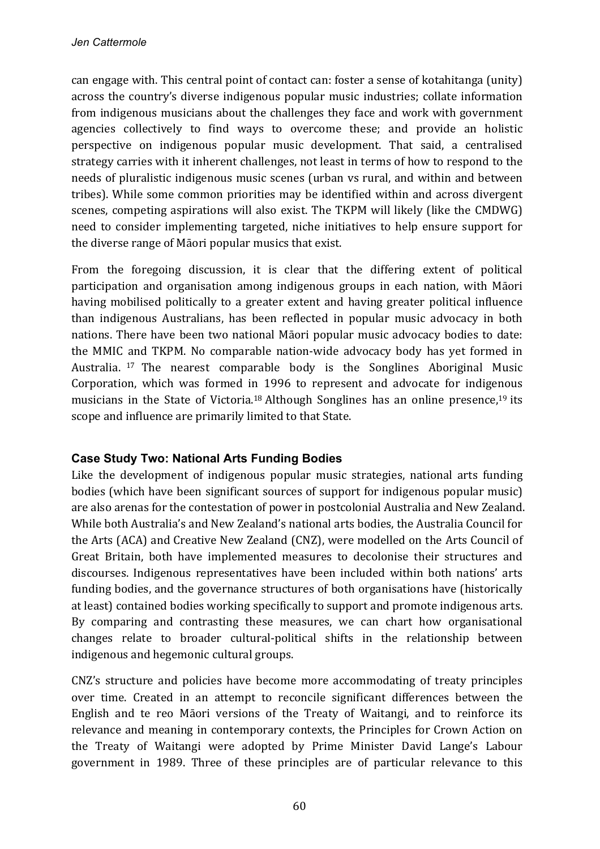can engage with. This central point of contact can: foster a sense of kotahitanga (unity) across the country's diverse indigenous popular music industries; collate information from indigenous musicians about the challenges they face and work with government agencies collectively to find ways to overcome these; and provide an holistic perspective on indigenous popular music development. That said, a centralised strategy carries with it inherent challenges, not least in terms of how to respond to the needs of pluralistic indigenous music scenes (urban vs rural, and within and between tribes). While some common priorities may be identified within and across divergent scenes, competing aspirations will also exist. The TKPM will likely (like the CMDWG) need to consider implementing targeted, niche initiatives to help ensure support for the diverse range of Māori popular musics that exist.

From the foregoing discussion, it is clear that the differing extent of political participation and organisation among indigenous groups in each nation, with Māori having mobilised politically to a greater extent and having greater political influence than indigenous Australians, has been reflected in popular music advocacy in both nations. There have been two national Māori popular music advocacy bodies to date: the MMIC and TKPM. No comparable nation-wide advocacy body has yet formed in Australia. <sup>17</sup> The nearest comparable body is the Songlines Aboriginal Music Corporation, which was formed in 1996 to represent and advocate for indigenous musicians in the State of Victoria.<sup>18</sup> Although Songlines has an online presence,<sup>19</sup> its scope and influence are primarily limited to that State.

## **Case Study Two: National Arts Funding Bodies**

Like the development of indigenous popular music strategies, national arts funding bodies (which have been significant sources of support for indigenous popular music) are also arenas for the contestation of power in postcolonial Australia and New Zealand. While both Australia's and New Zealand's national arts bodies, the Australia Council for the Arts (ACA) and Creative New Zealand (CNZ), were modelled on the Arts Council of Great Britain, both have implemented measures to decolonise their structures and discourses. Indigenous representatives have been included within both nations' arts funding bodies, and the governance structures of both organisations have (historically at least) contained bodies working specifically to support and promote indigenous arts. By comparing and contrasting these measures, we can chart how organisational changes relate to broader cultural-political shifts in the relationship between indigenous and hegemonic cultural groups.

CNZ's structure and policies have become more accommodating of treaty principles over time. Created in an attempt to reconcile significant differences between the English and te reo Māori versions of the Treaty of Waitangi, and to reinforce its relevance and meaning in contemporary contexts, the Principles for Crown Action on the Treaty of Waitangi were adopted by Prime Minister David Lange's Labour government in 1989. Three of these principles are of particular relevance to this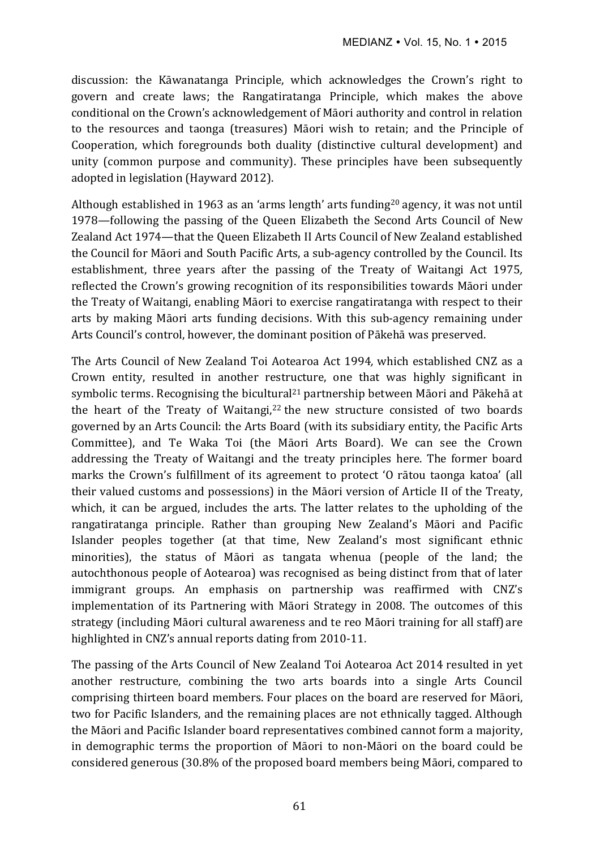discussion: the Kāwanatanga Principle, which acknowledges the Crown's right to govern and create laws; the Rangatiratanga Principle, which makes the above conditional on the Crown's acknowledgement of Māori authority and control in relation to the resources and taonga (treasures) Māori wish to retain; and the Principle of Cooperation, which foregrounds both duality (distinctive cultural development) and unity (common purpose and community). These principles have been subsequently adopted in legislation (Hayward 2012).

Although established in 1963 as an 'arms length' arts funding<sup>20</sup> agency, it was not until 1978—following the passing of the Queen Elizabeth the Second Arts Council of New Zealand Act 1974—that the Queen Elizabeth II Arts Council of New Zealand established the Council for Māori and South Pacific Arts, a sub-agency controlled by the Council. Its establishment, three years after the passing of the Treaty of Waitangi Act 1975, reflected the Crown's growing recognition of its responsibilities towards Māori under the Treaty of Waitangi, enabling Māori to exercise rangatiratanga with respect to their arts by making Māori arts funding decisions. With this sub-agency remaining under Arts Council's control, however, the dominant position of Pākehā was preserved.

The Arts Council of New Zealand Toi Aotearoa Act 1994, which established CNZ as a Crown entity, resulted in another restructure, one that was highly significant in symbolic terms. Recognising the bicultural<sup>21</sup> partnership between Māori and Pākehā at the heart of the Treaty of Waitangi, $22$  the new structure consisted of two boards governed by an Arts Council: the Arts Board (with its subsidiary entity, the Pacific Arts Committee), and Te Waka Toi (the Māori Arts Board). We can see the Crown addressing the Treaty of Waitangi and the treaty principles here. The former board marks the Crown's fulfillment of its agreement to protect 'O rātou taonga katoa' (all their valued customs and possessions) in the Māori version of Article II of the Treaty, which, it can be argued, includes the arts. The latter relates to the upholding of the rangatiratanga principle. Rather than grouping New Zealand's Māori and Pacific Islander peoples together (at that time, New Zealand's most significant ethnic minorities), the status of Māori as tangata whenua (people of the land; the autochthonous people of Aotearoa) was recognised as being distinct from that of later immigrant groups. An emphasis on partnership was reaffirmed with CNZ's implementation of its Partnering with Māori Strategy in 2008. The outcomes of this strategy (including Māori cultural awareness and te reo Māori training for all staff) are highlighted in CNZ's annual reports dating from 2010-11.

The passing of the Arts Council of New Zealand Toi Aotearoa Act 2014 resulted in yet another restructure, combining the two arts boards into a single Arts Council comprising thirteen board members. Four places on the board are reserved for Māori, two for Pacific Islanders, and the remaining places are not ethnically tagged. Although the Māori and Pacific Islander board representatives combined cannot form a majority, in demographic terms the proportion of Māori to non-Māori on the board could be considered generous (30.8% of the proposed board members being Māori, compared to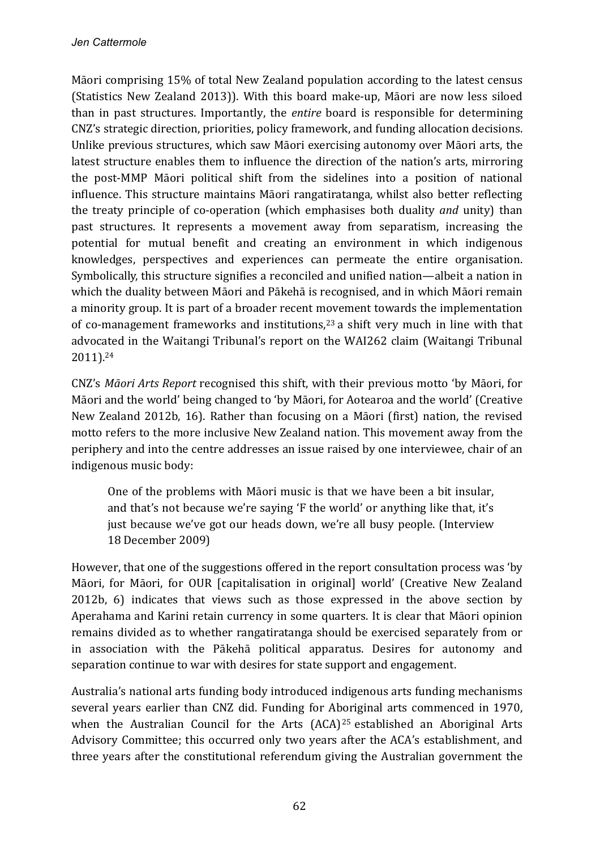Māori comprising 15% of total New Zealand population according to the latest census (Statistics New Zealand 2013)). With this board make-up, Māori are now less siloed than in past structures. Importantly, the *entire* board is responsible for determining CNZ's strategic direction, priorities, policy framework, and funding allocation decisions. Unlike previous structures, which saw Māori exercising autonomy over Māori arts, the latest structure enables them to influence the direction of the nation's arts, mirroring the post-MMP Māori political shift from the sidelines into a position of national influence. This structure maintains Māori rangatiratanga, whilst also better reflecting the treaty principle of co-operation (which emphasises both duality *and* unity) than past structures. It represents a movement away from separatism, increasing the potential for mutual benefit and creating an environment in which indigenous knowledges, perspectives and experiences can permeate the entire organisation. Symbolically, this structure signifies a reconciled and unified nation—albeit a nation in which the duality between Māori and Pākehā is recognised, and in which Māori remain a minority group. It is part of a broader recent movement towards the implementation of co-management frameworks and institutions,<sup>23</sup> a shift very much in line with that advocated in the Waitangi Tribunal's report on the WAI262 claim (Waitangi Tribunal 2011). 24 

CNZ's *Māori Arts Report* recognised this shift, with their previous motto 'by Māori, for Māori and the world' being changed to 'by Māori, for Aotearoa and the world' (Creative New Zealand 2012b, 16). Rather than focusing on a Māori (first) nation, the revised motto refers to the more inclusive New Zealand nation. This movement away from the periphery and into the centre addresses an issue raised by one interviewee, chair of an indigenous music body:

One of the problems with Māori music is that we have been a bit insular, and that's not because we're saying 'F the world' or anything like that, it's just because we've got our heads down, we're all busy people. (Interview 18 December 2009)

However, that one of the suggestions offered in the report consultation process was 'by Māori, for Māori, for OUR [capitalisation in original] world' (Creative New Zealand 2012b, 6) indicates that views such as those expressed in the above section by Aperahama and Karini retain currency in some quarters. It is clear that Māori opinion remains divided as to whether rangatiratanga should be exercised separately from or in association with the Pākehā political apparatus. Desires for autonomy and separation continue to war with desires for state support and engagement.

Australia's national arts funding body introduced indigenous arts funding mechanisms several years earlier than CNZ did. Funding for Aboriginal arts commenced in 1970, when the Australian Council for the Arts  $(ACA)^{25}$  established an Aboriginal Arts Advisory Committee; this occurred only two years after the ACA's establishment, and three years after the constitutional referendum giving the Australian government the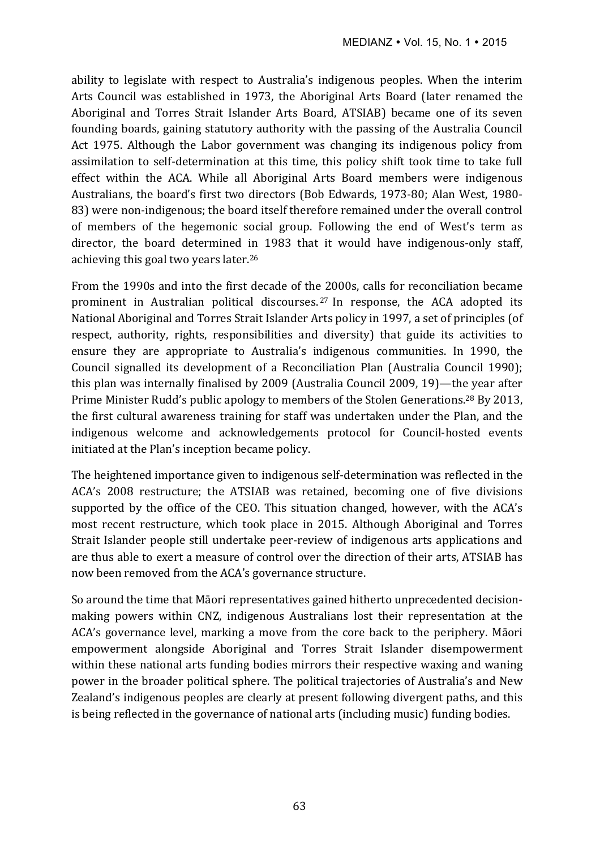ability to legislate with respect to Australia's indigenous peoples. When the interim Arts Council was established in 1973, the Aboriginal Arts Board (later renamed the Aboriginal and Torres Strait Islander Arts Board, ATSIAB) became one of its seven founding boards, gaining statutory authority with the passing of the Australia Council Act 1975. Although the Labor government was changing its indigenous policy from assimilation to self-determination at this time, this policy shift took time to take full effect within the ACA. While all Aboriginal Arts Board members were indigenous Australians, the board's first two directors (Bob Edwards, 1973-80; Alan West, 1980-83) were non-indigenous; the board itself therefore remained under the overall control of members of the hegemonic social group. Following the end of West's term as director, the board determined in 1983 that it would have indigenous-only staff, achieving this goal two years later.<sup>26</sup>

From the 1990s and into the first decade of the 2000s, calls for reconciliation became prominent in Australian political discourses.<sup>27</sup> In response, the ACA adopted its National Aboriginal and Torres Strait Islander Arts policy in 1997, a set of principles (of respect, authority, rights, responsibilities and diversity) that guide its activities to ensure they are appropriate to Australia's indigenous communities. In 1990, the Council signalled its development of a Reconciliation Plan (Australia Council 1990); this plan was internally finalised by 2009 (Australia Council 2009, 19)—the year after Prime Minister Rudd's public apology to members of the Stolen Generations.<sup>28</sup> By 2013, the first cultural awareness training for staff was undertaken under the Plan, and the indigenous welcome and acknowledgements protocol for Council-hosted events initiated at the Plan's inception became policy.

The heightened importance given to indigenous self-determination was reflected in the ACA's 2008 restructure; the ATSIAB was retained, becoming one of five divisions supported by the office of the CEO. This situation changed, however, with the ACA's most recent restructure, which took place in 2015. Although Aboriginal and Torres Strait Islander people still undertake peer-review of indigenous arts applications and are thus able to exert a measure of control over the direction of their arts, ATSIAB has now been removed from the ACA's governance structure.

So around the time that Māori representatives gained hitherto unprecedented decisionmaking powers within CNZ, indigenous Australians lost their representation at the ACA's governance level, marking a move from the core back to the periphery. Māori empowerment alongside Aboriginal and Torres Strait Islander disempowerment within these national arts funding bodies mirrors their respective waxing and waning power in the broader political sphere. The political trajectories of Australia's and New Zealand's indigenous peoples are clearly at present following divergent paths, and this is being reflected in the governance of national arts (including music) funding bodies.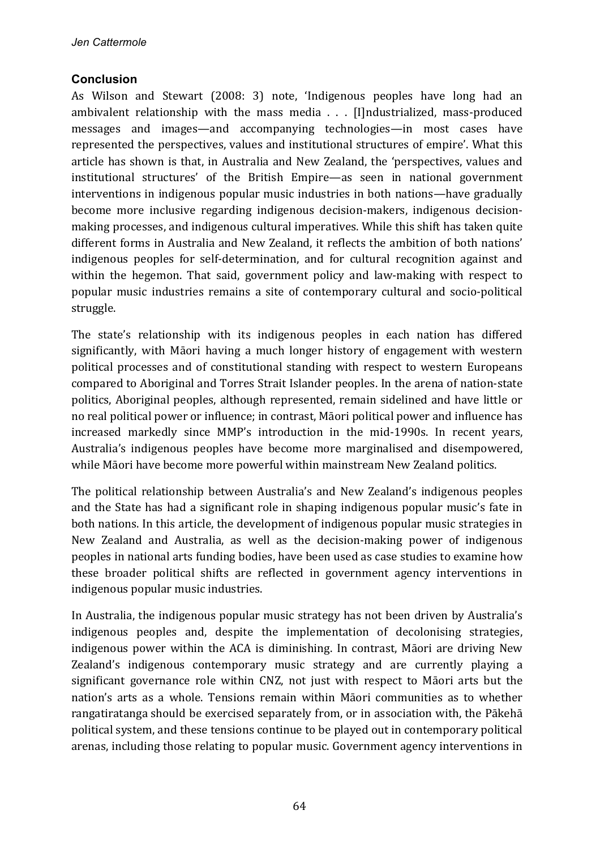### **Conclusion**

As Wilson and Stewart (2008: 3) note, 'Indigenous peoples have long had an ambivalent relationship with the mass media . . . [I]ndustrialized, mass-produced messages and images—and accompanying technologies—in most cases have represented the perspectives, values and institutional structures of empire'. What this article has shown is that, in Australia and New Zealand, the 'perspectives, values and institutional structures' of the British Empire—as seen in national government interventions in indigenous popular music industries in both nations—have gradually become more inclusive regarding indigenous decision-makers, indigenous decisionmaking processes, and indigenous cultural imperatives. While this shift has taken quite different forms in Australia and New Zealand, it reflects the ambition of both nations' indigenous peoples for self-determination, and for cultural recognition against and within the hegemon. That said, government policy and law-making with respect to popular music industries remains a site of contemporary cultural and socio-political struggle. 

The state's relationship with its indigenous peoples in each nation has differed significantly, with Māori having a much longer history of engagement with western political processes and of constitutional standing with respect to western Europeans compared to Aboriginal and Torres Strait Islander peoples. In the arena of nation-state politics, Aboriginal peoples, although represented, remain sidelined and have little or no real political power or influence; in contrast, Māori political power and influence has increased markedly since MMP's introduction in the mid-1990s. In recent years, Australia's indigenous peoples have become more marginalised and disempowered, while Māori have become more powerful within mainstream New Zealand politics.

The political relationship between Australia's and New Zealand's indigenous peoples and the State has had a significant role in shaping indigenous popular music's fate in both nations. In this article, the development of indigenous popular music strategies in New Zealand and Australia, as well as the decision-making power of indigenous peoples in national arts funding bodies, have been used as case studies to examine how these broader political shifts are reflected in government agency interventions in indigenous popular music industries.

In Australia, the indigenous popular music strategy has not been driven by Australia's indigenous peoples and, despite the implementation of decolonising strategies, indigenous power within the ACA is diminishing. In contrast, Māori are driving New Zealand's indigenous contemporary music strategy and are currently playing a significant governance role within CNZ, not just with respect to Māori arts but the nation's arts as a whole. Tensions remain within Māori communities as to whether rangatiratanga should be exercised separately from, or in association with, the Pākehā political system, and these tensions continue to be played out in contemporary political arenas, including those relating to popular music. Government agency interventions in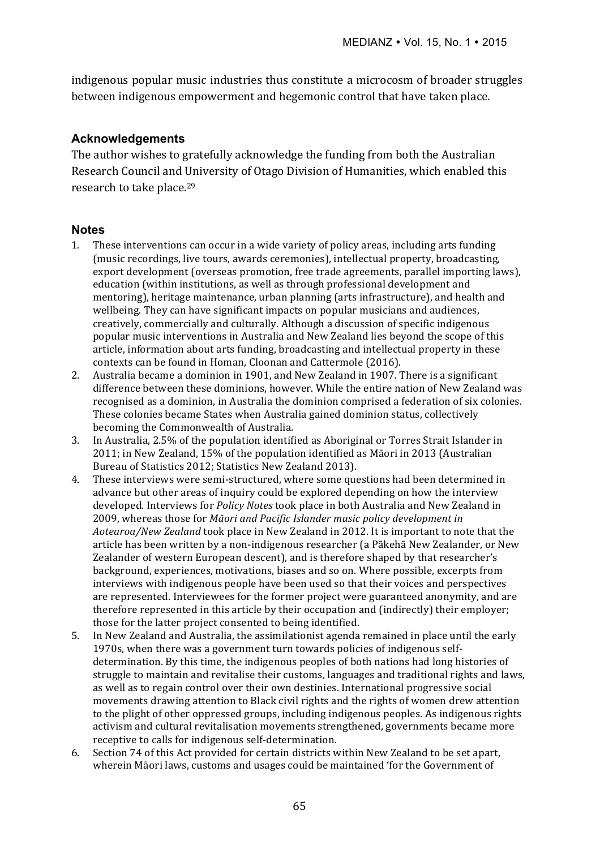indigenous popular music industries thus constitute a microcosm of broader struggles between indigenous empowerment and hegemonic control that have taken place.

### **Acknowledgements**

The author wishes to gratefully acknowledge the funding from both the Australian Research Council and University of Otago Division of Humanities, which enabled this research to take place.<sup>29</sup>

### **Notes**

- 1. These interventions can occur in a wide variety of policy areas, including arts funding (music recordings, live tours, awards ceremonies), intellectual property, broadcasting, export development (overseas promotion, free trade agreements, parallel importing laws), education (within institutions, as well as through professional development and mentoring), heritage maintenance, urban planning (arts infrastructure), and health and wellbeing. They can have significant impacts on popular musicians and audiences, creatively, commercially and culturally. Although a discussion of specific indigenous popular music interventions in Australia and New Zealand lies beyond the scope of this article, information about arts funding, broadcasting and intellectual property in these contexts can be found in Homan, Cloonan and Cattermole (2016).
- 2. Australia became a dominion in 1901, and New Zealand in 1907. There is a significant difference between these dominions, however. While the entire nation of New Zealand was recognised as a dominion, in Australia the dominion comprised a federation of six colonies. These colonies became States when Australia gained dominion status, collectively becoming the Commonwealth of Australia.
- 3. In Australia, 2.5% of the population identified as Aboriginal or Torres Strait Islander in  $2011$ ; in New Zealand,  $15\%$  of the population identified as Māori in 2013 (Australian Bureau of Statistics 2012; Statistics New Zealand 2013).
- 4. These interviews were semi-structured, where some questions had been determined in advance but other areas of inquiry could be explored depending on how the interview developed. Interviews for *Policy Notes* took place in both Australia and New Zealand in 2009, whereas those for *Māori and Pacific Islander music policy development in* Aotearoa/New Zealand took place in New Zealand in 2012. It is important to note that the article has been written by a non-indigenous researcher (a Pākehā New Zealander, or New Zealander of western European descent), and is therefore shaped by that researcher's background, experiences, motivations, biases and so on. Where possible, excerpts from interviews with indigenous people have been used so that their voices and perspectives are represented. Interviewees for the former project were guaranteed anonymity, and are therefore represented in this article by their occupation and (indirectly) their employer; those for the latter project consented to being identified.
- 5. In New Zealand and Australia, the assimilationist agenda remained in place until the early 1970s, when there was a government turn towards policies of indigenous selfdetermination. By this time, the indigenous peoples of both nations had long histories of struggle to maintain and revitalise their customs, languages and traditional rights and laws, as well as to regain control over their own destinies. International progressive social movements drawing attention to Black civil rights and the rights of women drew attention to the plight of other oppressed groups, including indigenous peoples. As indigenous rights activism and cultural revitalisation movements strengthened, governments became more receptive to calls for indigenous self-determination.
- 6. Section 74 of this Act provided for certain districts within New Zealand to be set apart. wherein Māori laws, customs and usages could be maintained 'for the Government of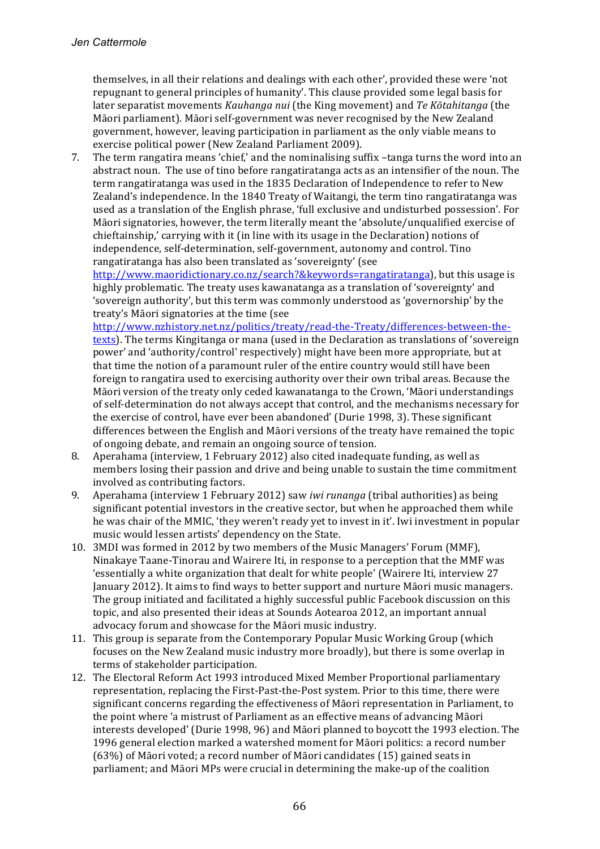themselves, in all their relations and dealings with each other', provided these were 'not repugnant to general principles of humanity'. This clause provided some legal basis for later separatist movements *Kauhanga nui* (the King movement) and *Te Kōtahitanga* (the Māori parliament). Māori self-government was never recognised by the New Zealand government, however, leaving participation in parliament as the only viable means to exercise political power (New Zealand Parliament 2009).

7. The term rangatira means 'chief,' and the nominalising suffix -tanga turns the word into an abstract noun. The use of tino before rangatiratanga acts as an intensifier of the noun. The term rangatiratanga was used in the 1835 Declaration of Independence to refer to New Zealand's independence. In the 1840 Treaty of Waitangi, the term tino rangatiratanga was used as a translation of the English phrase, 'full exclusive and undisturbed possession'. For Māori signatories, however, the term literally meant the 'absolute/unqualified exercise of chieftainship,' carrying with it (in line with its usage in the Declaration) notions of independence, self-determination, self-government, autonomy and control. Tino rangatiratanga has also been translated as 'sovereignty' (see

http://www.maoridictionary.co.nz/search?&keywords=rangatiratanga), but this usage is highly problematic. The treaty uses kawanatanga as a translation of 'sovereignty' and 'sovereign authority', but this term was commonly understood as 'governorship' by the treaty's Māori signatories at the time (see

http://www.nzhistory.net.nz/politics/treaty/read-the-Treaty/differences-between-thetexts). The terms Kingitanga or mana (used in the Declaration as translations of 'sovereign power' and 'authority/control' respectively) might have been more appropriate, but at that time the notion of a paramount ruler of the entire country would still have been foreign to rangatira used to exercising authority over their own tribal areas. Because the Māori version of the treaty only ceded kawanatanga to the Crown, 'Māori understandings of self-determination do not always accept that control, and the mechanisms necessary for the exercise of control, have ever been abandoned' (Durie 1998, 3). These significant differences between the English and Māori versions of the treaty have remained the topic of ongoing debate, and remain an ongoing source of tension.

- 8. Aperahama (interview, 1 February 2012) also cited inadequate funding, as well as members losing their passion and drive and being unable to sustain the time commitment involved as contributing factors.
- 9. Aperahama (interview 1 February 2012) saw *iwi runanga* (tribal authorities) as being significant potential investors in the creative sector, but when he approached them while he was chair of the MMIC, 'they weren't ready yet to invest in it'. Iwi investment in popular music would lessen artists' dependency on the State.
- 10. 3MDI was formed in 2012 by two members of the Music Managers' Forum (MMF), Ninakaye Taane-Tinorau and Wairere Iti, in response to a perception that the MMF was 'essentially a white organization that dealt for white people' (Wairere Iti, interview 27 January 2012). It aims to find ways to better support and nurture Māori music managers. The group initiated and facilitated a highly successful public Facebook discussion on this topic, and also presented their ideas at Sounds Aotearoa 2012, an important annual advocacy forum and showcase for the Māori music industry.
- 11. This group is separate from the Contemporary Popular Music Working Group (which focuses on the New Zealand music industry more broadly), but there is some overlap in terms of stakeholder participation.
- 12. The Electoral Reform Act 1993 introduced Mixed Member Proportional parliamentary representation, replacing the First-Past-the-Post system. Prior to this time, there were significant concerns regarding the effectiveness of Māori representation in Parliament, to the point where 'a mistrust of Parliament as an effective means of advancing Māori interests developed' (Durie 1998, 96) and Māori planned to boycott the 1993 election. The 1996 general election marked a watershed moment for Māori politics: a record number  $(63%)$  of Māori voted; a record number of Māori candidates  $(15)$  gained seats in parliament; and Māori MPs were crucial in determining the make-up of the coalition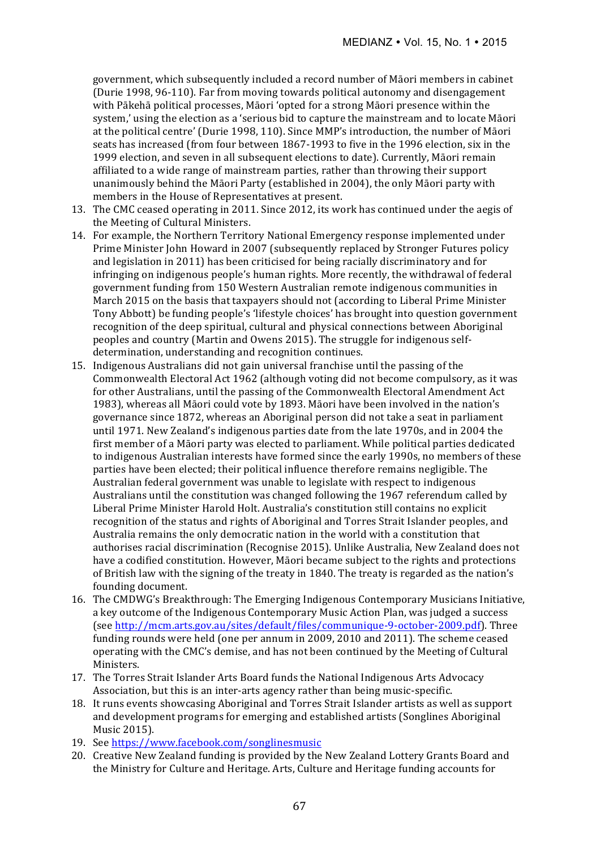government, which subsequently included a record number of Māori members in cabinet (Durie 1998, 96-110). Far from moving towards political autonomy and disengagement with Pākehā political processes, Māori 'opted for a strong Māori presence within the system,' using the election as a 'serious bid to capture the mainstream and to locate Māori at the political centre' (Durie 1998, 110). Since MMP's introduction, the number of Māori seats has increased (from four between 1867-1993 to five in the 1996 election, six in the 1999 election, and seven in all subsequent elections to date). Currently, Māori remain affiliated to a wide range of mainstream parties, rather than throwing their support unanimously behind the Māori Party (established in 2004), the only Māori party with members in the House of Representatives at present.

- 13. The CMC ceased operating in 2011. Since 2012, its work has continued under the aegis of the Meeting of Cultural Ministers.
- 14. For example, the Northern Territory National Emergency response implemented under Prime Minister John Howard in 2007 (subsequently replaced by Stronger Futures policy and legislation in 2011) has been criticised for being racially discriminatory and for infringing on indigenous people's human rights. More recently, the withdrawal of federal government funding from 150 Western Australian remote indigenous communities in March 2015 on the basis that taxpayers should not (according to Liberal Prime Minister Tony Abbott) be funding people's 'lifestyle choices' has brought into question government recognition of the deep spiritual, cultural and physical connections between Aboriginal peoples and country (Martin and Owens 2015). The struggle for indigenous selfdetermination, understanding and recognition continues.
- 15. Indigenous Australians did not gain universal franchise until the passing of the Commonwealth Electoral Act 1962 (although voting did not become compulsory, as it was for other Australians, until the passing of the Commonwealth Electoral Amendment Act 1983), whereas all Māori could vote by 1893. Māori have been involved in the nation's governance since 1872, whereas an Aboriginal person did not take a seat in parliament until 1971. New Zealand's indigenous parties date from the late 1970s, and in 2004 the first member of a Māori party was elected to parliament. While political parties dedicated to indigenous Australian interests have formed since the early 1990s, no members of these parties have been elected; their political influence therefore remains negligible. The Australian federal government was unable to legislate with respect to indigenous Australians until the constitution was changed following the 1967 referendum called by Liberal Prime Minister Harold Holt. Australia's constitution still contains no explicit recognition of the status and rights of Aboriginal and Torres Strait Islander peoples, and Australia remains the only democratic nation in the world with a constitution that authorises racial discrimination (Recognise 2015). Unlike Australia, New Zealand does not have a codified constitution. However, Māori became subject to the rights and protections of British law with the signing of the treaty in 1840. The treaty is regarded as the nation's founding document.
- 16. The CMDWG's Breakthrough: The Emerging Indigenous Contemporary Musicians Initiative, a key outcome of the Indigenous Contemporary Music Action Plan, was judged a success (see http://mcm.arts.gov.au/sites/default/files/communique-9-october-2009.pdf). Three funding rounds were held (one per annum in 2009, 2010 and 2011). The scheme ceased operating with the CMC's demise, and has not been continued by the Meeting of Cultural Ministers.
- 17. The Torres Strait Islander Arts Board funds the National Indigenous Arts Advocacy Association, but this is an inter-arts agency rather than being music-specific.
- 18. It runs events showcasing Aboriginal and Torres Strait Islander artists as well as support and development programs for emerging and established artists (Songlines Aboriginal Music 2015).
- 19. See https://www.facebook.com/songlinesmusic
- 20. Creative New Zealand funding is provided by the New Zealand Lottery Grants Board and the Ministry for Culture and Heritage. Arts, Culture and Heritage funding accounts for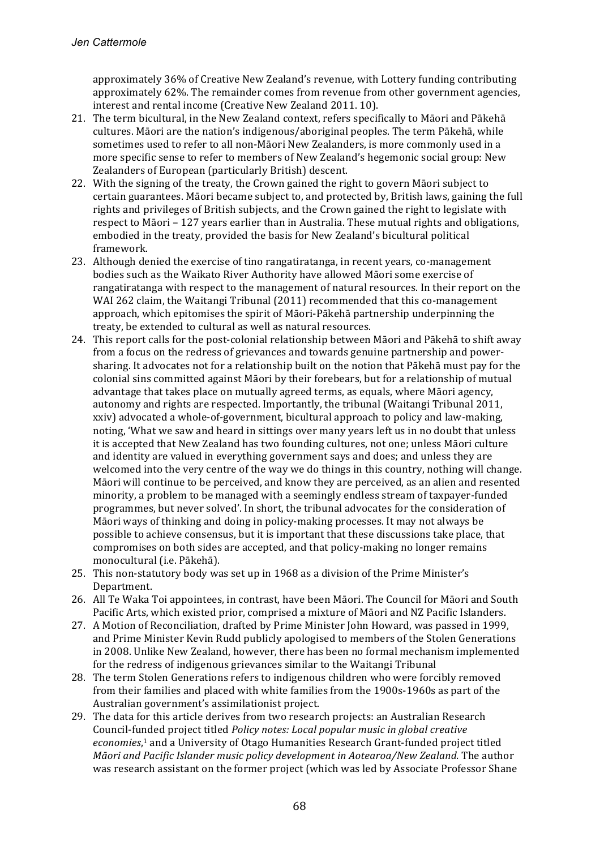approximately 36% of Creative New Zealand's revenue, with Lottery funding contributing approximately 62%. The remainder comes from revenue from other government agencies, interest and rental income (Creative New Zealand 2011. 10).

- 21. The term bicultural, in the New Zealand context, refers specifically to Māori and Pākehā cultures. Māori are the nation's indigenous/aboriginal peoples. The term Pākehā, while sometimes used to refer to all non-Māori New Zealanders, is more commonly used in a more specific sense to refer to members of New Zealand's hegemonic social group: New Zealanders of European (particularly British) descent.
- 22. With the signing of the treaty, the Crown gained the right to govern Māori subject to certain guarantees. Māori became subject to, and protected by, British laws, gaining the full rights and privileges of British subjects, and the Crown gained the right to legislate with respect to Māori – 127 years earlier than in Australia. These mutual rights and obligations, embodied in the treaty, provided the basis for New Zealand's bicultural political framework.
- 23. Although denied the exercise of tino rangatiratanga, in recent years, co-management bodies such as the Waikato River Authority have allowed Māori some exercise of rangatiratanga with respect to the management of natural resources. In their report on the WAI 262 claim, the Waitangi Tribunal (2011) recommended that this co-management approach, which epitomises the spirit of Māori-Pākehā partnership underpinning the treaty, be extended to cultural as well as natural resources.
- 24. This report calls for the post-colonial relationship between Māori and Pākehā to shift away from a focus on the redress of grievances and towards genuine partnership and powersharing. It advocates not for a relationship built on the notion that Pākehā must pay for the colonial sins committed against Māori by their forebears, but for a relationship of mutual advantage that takes place on mutually agreed terms, as equals, where Māori agency, autonomy and rights are respected. Importantly, the tribunal (Waitangi Tribunal 2011, xxiv) advocated a whole-of-government, bicultural approach to policy and law-making, noting, 'What we saw and heard in sittings over many years left us in no doubt that unless it is accepted that New Zealand has two founding cultures, not one; unless Māori culture and identity are valued in everything government says and does; and unless they are welcomed into the very centre of the way we do things in this country, nothing will change. Māori will continue to be perceived, and know they are perceived, as an alien and resented minority, a problem to be managed with a seemingly endless stream of taxpayer-funded programmes, but never solved'. In short, the tribunal advocates for the consideration of Māori ways of thinking and doing in policy-making processes. It may not always be possible to achieve consensus, but it is important that these discussions take place, that compromises on both sides are accepted, and that policy-making no longer remains monocultural (i.e. Pākehā).
- 25. This non-statutory body was set up in 1968 as a division of the Prime Minister's Department.
- 26. All Te Waka Toi appointees, in contrast, have been Māori. The Council for Māori and South Pacific Arts, which existed prior, comprised a mixture of Māori and NZ Pacific Islanders.
- 27. A Motion of Reconciliation, drafted by Prime Minister John Howard, was passed in 1999, and Prime Minister Kevin Rudd publicly apologised to members of the Stolen Generations in 2008. Unlike New Zealand, however, there has been no formal mechanism implemented for the redress of indigenous grievances similar to the Waitangi Tribunal
- 28. The term Stolen Generations refers to indigenous children who were forcibly removed from their families and placed with white families from the 1900s-1960s as part of the Australian government's assimilationist project.
- 29. The data for this article derives from two research projects: an Australian Research Council-funded project titled *Policy notes: Local popular music in global creative* economies,<sup>1</sup> and a University of Otago Humanities Research Grant-funded project titled *Māori and Pacific Islander music policy development in Aotearoa/New Zealand.* The author was research assistant on the former project (which was led by Associate Professor Shane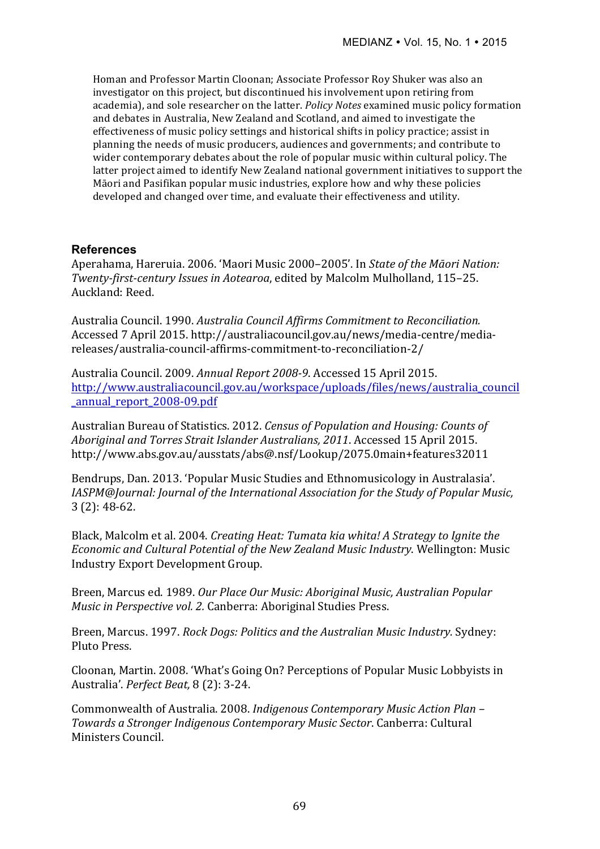Homan and Professor Martin Cloonan; Associate Professor Roy Shuker was also an investigator on this project, but discontinued his involvement upon retiring from academia), and sole researcher on the latter. *Policy Notes* examined music policy formation and debates in Australia, New Zealand and Scotland, and aimed to investigate the effectiveness of music policy settings and historical shifts in policy practice; assist in planning the needs of music producers, audiences and governments; and contribute to wider contemporary debates about the role of popular music within cultural policy. The latter project aimed to identify New Zealand national government initiatives to support the Māori and Pasifikan popular music industries, explore how and why these policies developed and changed over time, and evaluate their effectiveness and utility.

### **References**

Aperahama, Hareruia, 2006. 'Maori Music 2000–2005'. In *State of the Māori Nation: Twenty-first-century Issues in Aotearoa*, edited by Malcolm Mulholland, 115–25. Auckland: Reed.

Australia Council. 1990. Australia Council Affirms Commitment to Reconciliation. Accessed 7 April 2015. http://australiacouncil.gov.au/news/media-centre/mediareleases/australia-council-affirms-commitment-to-reconciliation-2/

Australia Council. 2009. *Annual Report 2008-9*. Accessed 15 April 2015. http://www.australiacouncil.gov.au/workspace/uploads/files/news/australia\_council \_annual\_report\_2008-09.pdf

Australian Bureau of Statistics. 2012. *Census of Population and Housing: Counts of* Aboriginal and Torres Strait Islander Australians, 2011. Accessed 15 April 2015. http://www.abs.gov.au/ausstats/abs@.nsf/Lookup/2075.0main+features32011

Bendrups, Dan. 2013. 'Popular Music Studies and Ethnomusicology in Australasia'. *IASPM@Journal: Journal of the International Association for the Study of Popular Music,*  $3(2): 48-62.$ 

Black, Malcolm et al. 2004. *Creating Heat: Tumata kia whita! A Strategy to Ignite the Economic and Cultural Potential of the New Zealand Music Industry.* Wellington: Music Industry Export Development Group.

Breen, Marcus ed. 1989. *Our Place Our Music: Aboriginal Music, Australian Popular Music in Perspective vol. 2.* Canberra: Aboriginal Studies Press.

Breen, Marcus. 1997. *Rock Dogs: Politics and the Australian Music Industry.* Sydney: Pluto Press.

Cloonan, Martin. 2008. 'What's Going On? Perceptions of Popular Music Lobbyists in Australia'. *Perfect Beat,* 8 (2): 3-24.

Commonwealth of Australia. 2008. *Indigenous Contemporary Music Action Plan* – *Towards a Stronger Indigenous Contemporary Music Sector*. Canberra: Cultural Ministers Council.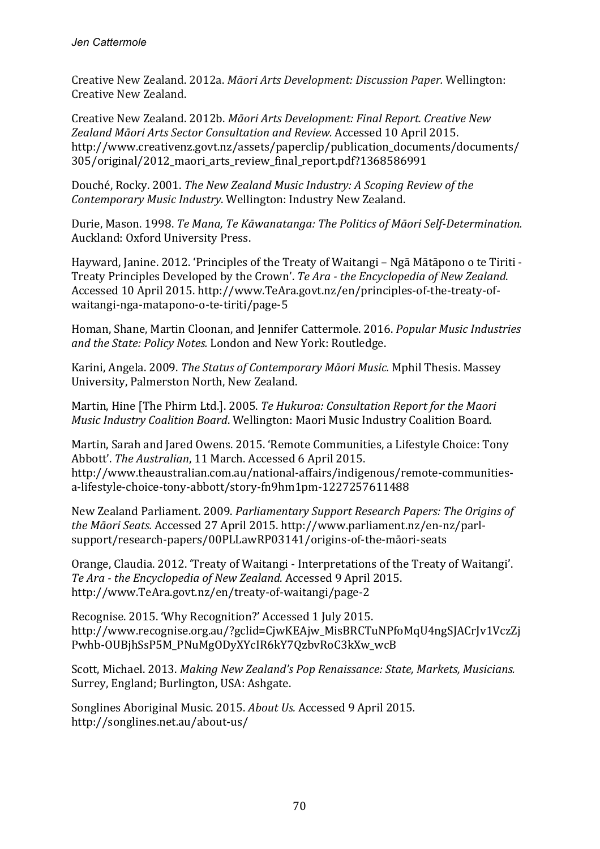Creative New Zealand. 2012a. *Māori Arts Development: Discussion Paper.* Wellington: Creative New Zealand.

Creative New Zealand. 2012b. *Māori Arts Development: Final Report. Creative New* Zealand Māori Arts Sector Consultation and Review. Accessed 10 April 2015. http://www.creativenz.govt.nz/assets/paperclip/publication\_documents/documents/ 305/original/2012\_maori\_arts\_review\_final\_report.pdf?1368586991

Douché, Rocky, 2001. *The New Zealand Music Industry: A Scoping Review of the Contemporary Music Industry*. Wellington: Industry New Zealand. 

Durie, Mason. 1998. *Te Mana, Te Kāwanatanga: The Politics of Māori Self-Determination.* Auckland: Oxford University Press.

Hayward, Janine. 2012. 'Principles of the Treaty of Waitangi – Ngā Mātāpono o te Tiriti -Treaty Principles Developed by the Crown'. *Te Ara - the Encyclopedia of New Zealand*. Accessed 10 April 2015. http://www.TeAra.govt.nz/en/principles-of-the-treaty-ofwaitangi-nga-matapono-o-te-tiriti/page-5

Homan, Shane, Martin Cloonan, and Jennifer Cattermole. 2016. *Popular Music Industries* and the State: Policy Notes. London and New York: Routledge.

Karini, Angela. 2009. *The Status of Contemporary Māori Music.* Mphil Thesis. Massey University, Palmerston North, New Zealand.

Martin, Hine [The Phirm Ltd.]. 2005. *Te Hukuroa: Consultation Report for the Maori Music Industry Coalition Board*. Wellington: Maori Music Industry Coalition Board.

Martin, Sarah and Jared Owens. 2015. 'Remote Communities, a Lifestyle Choice: Tony Abbott'. *The Australian*, 11 March. Accessed 6 April 2015. http://www.theaustralian.com.au/national-affairs/indigenous/remote-communitiesa-lifestyle-choice-tony-abbott/story-fn9hm1pm-1227257611488

New Zealand Parliament. 2009. *Parliamentary Support Research Papers: The Origins of the Māori Seats.* Accessed 27 April 2015. http://www.parliament.nz/en-nz/parlsupport/research-papers/00PLLawRP03141/origins-of-the-māori-seats

Orange, Claudia. 2012. 'Treaty of Waitangi - Interpretations of the Treaty of Waitangi'. Te Ara - the Encyclopedia of New Zealand. Accessed 9 April 2015. http://www.TeAra.govt.nz/en/treaty-of-waitangi/page-2

Recognise. 2015. 'Why Recognition?' Accessed 1 July 2015. http://www.recognise.org.au/?gclid=CjwKEAjw\_MisBRCTuNPfoMqU4ngSJACrJv1VczZj Pwhb-OUBjhSsP5M\_PNuMgODyXYcIR6kY7QzbvRoC3kXw\_wcB 

Scott, Michael. 2013. *Making New Zealand's Pop Renaissance: State, Markets, Musicians.* Surrey, England; Burlington, USA: Ashgate.

Songlines Aboriginal Music. 2015. *About Us.* Accessed 9 April 2015. http://songlines.net.au/about-us/